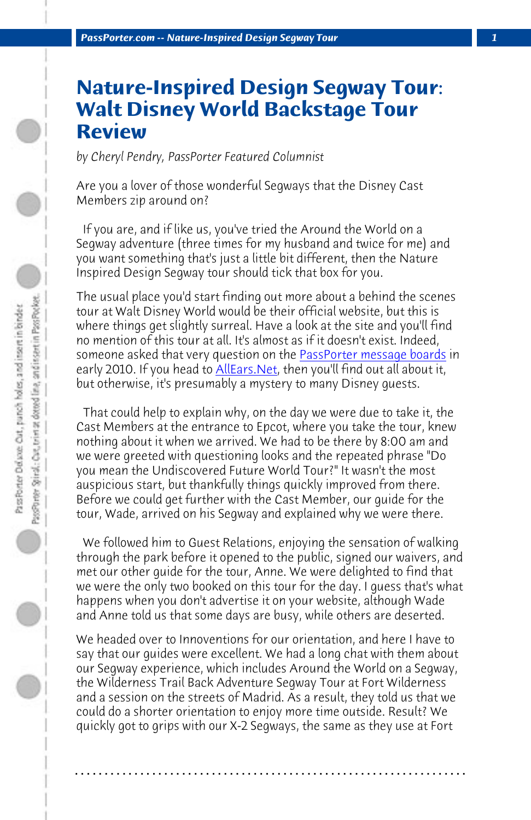*PassPorter.com -- Nature-Inspired Design Segway Tour 1*

## **Nature-Inspired Design Segway Tour: Walt Disney World Ba[ckstage Tour](http://www.passporterboards.com/forums/) Review**

*by Cheryl Pendry, PassPorter Featured Columnist*

Are you a lover of those wonderful Segways that the Disney Cast Members zip around on?

 If you are, and if like us, you've tried the Around the World on a Segway adventure (three times for my husband and twice for me) and you want something that's just a little bit different, then the Nature Inspired Design Segway tour should tick that box for you.

The usual place you'd start finding out more about a behind the scenes tour at Walt Disney World would be their official website, but this is where things get slightly surreal. Have a look at the site and you'll find no mention of this tour at all. It's almost as if it doesn't exist. Indeed, someone asked that very question on the PassPorter message boards in early 2010. If you head to **AllEars.Net**, then you'll find out all about it, but otherwise, it's presumably a mystery to many Disney guests.

 That could help to explain why, on the day we were due to take it, the Cast Members at the entrance to Epcot, where you take the tour, knew nothing about it when we arrived. We had to be there by 8:00 am and we were greeted with questioning looks and the repeated phrase "Do you mean the Undiscovered Future World Tour?" It wasn't the most auspicious start, but thankfully things quickly improved from there. Before we could get further with the Cast Member, our guide for the tour, Wade, arrived on his Segway and explained why we were there.

 We followed him to Guest Relations, enjoying the sensation of walking through the park before it opened to the public, signed our waivers, and met our other guide for the tour, Anne. We were delighted to find that we were the only two booked on this tour for the day. I guess that's what happens when you don't advertise it on your website, although Wade and Anne told us that some days are busy, while others are deserted.

We headed over to Innoventions for our orientation, and here I have to say that our guides were excellent. We had a long chat with them about our Segway experience, which includes Around the World on a Segway, the Wilderness Trail Back Adventure Segway Tour at Fort Wilderness and a session on the streets of Madrid. As a result, they told us that we could do a shorter orientation to enjoy more time outside. Result? We quickly got to grips with our X-2 Segways, the same as they use at Fort

**. . . . . . . . . . . . . . . . . . . . . . . . . . . . . . . . . . . . . . . . . . . . . . . . . . . . . . . . . . . . . . . . . .**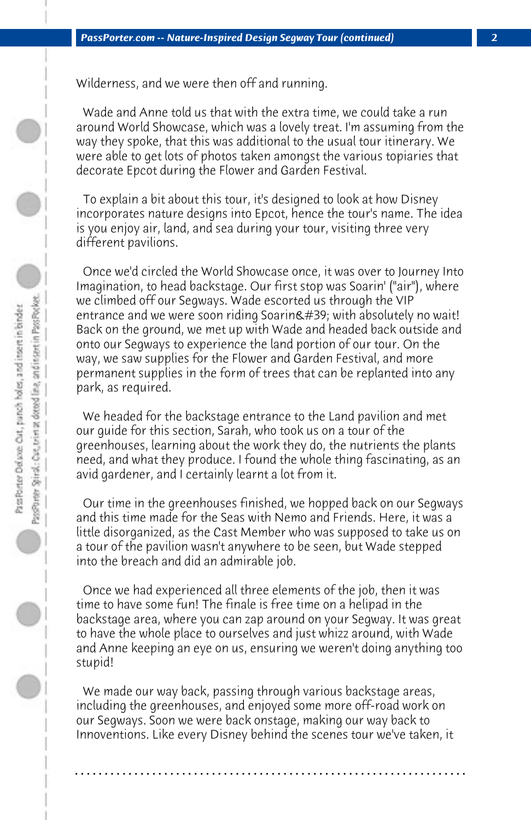Wilderness, and we were then off and running.

 Wade and Anne told us that with the extra time, we could take a run around World Showcase, which was a lovely treat. I'm assuming from the way they spoke, that this was additional to the usual tour itinerary. We were able to get lots of photos taken amongst the various topiaries that decorate Epcot during the Flower and Garden Festival.

 To explain a bit about this tour, it's designed to look at how Disney incorporates nature designs into Epcot, hence the tour's name. The idea is you enjoy air, land, and sea during your tour, visiting three very different pavilions.

 Once we'd circled the World Showcase once, it was over to Journey Into Imagination, to head backstage. Our first stop was Soarin' ("air"), where we climbed off our Segways. Wade escorted us through the VIP entrance and we were soon riding Soarin' with absolutely no wait! Back on the ground, we met up with Wade and headed back outside and onto our Segways to experience the land portion of our tour. On the way, we saw supplies for the Flower and Garden Festival, and more permanent supplies in the form of trees that can be replanted into any park, as required.

 We headed for the backstage entrance to the Land pavilion and met our guide for this section, Sarah, who took us on a tour of the greenhouses, learning about the work they do, the nutrients the plants need, and what they produce. I found the whole thing fascinating, as an avid gardener, and I certainly learnt a lot from it.

 Our time in the greenhouses finished, we hopped back on our Segways and this time made for the Seas with Nemo and Friends. Here, it was a little disorganized, as the Cast Member who was supposed to take us on a tour of the pavilion wasn't anywhere to be seen, but Wade stepped into the breach and did an admirable job.

 Once we had experienced all three elements of the job, then it was time to have some fun! The finale is free time on a helipad in the backstage area, where you can zap around on your Segway. It was great to have the whole place to ourselves and just whizz around, with Wade and Anne keeping an eye on us, ensuring we weren't doing anything too stupid!

 We made our way back, passing through various backstage areas, including the greenhouses, and enjoyed some more off-road work on our Segways. Soon we were back onstage, making our way back to Innoventions. Like every Disney behind the scenes tour we've taken, it

**. . . . . . . . . . . . . . . . . . . . . . . . . . . . . . . . . . . . . . . . . . . . . . . . . . . . . . . . . . . . . . . . . .**